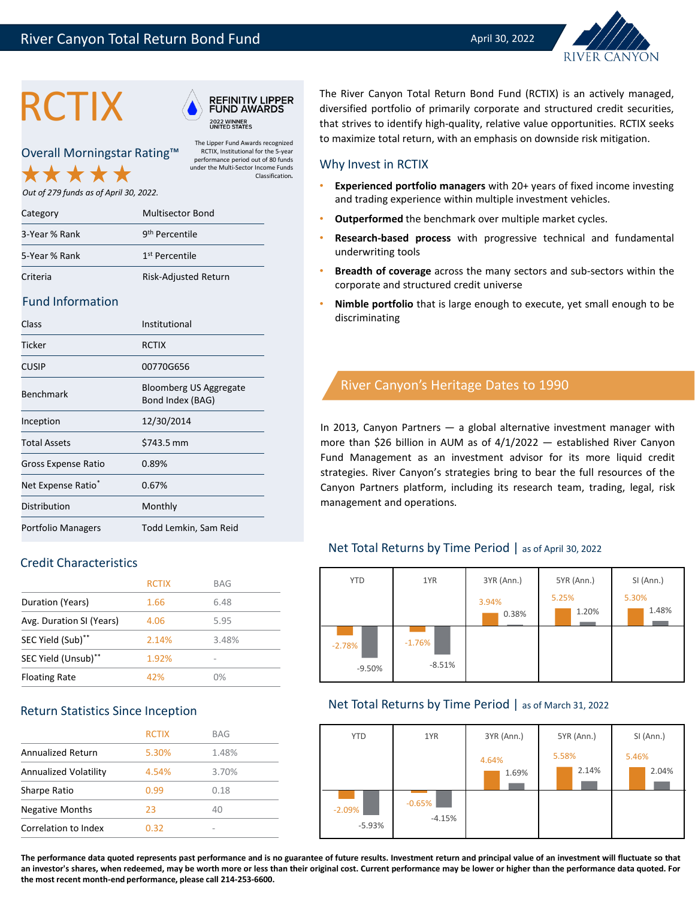



The Lipper Fund Awards recognized RCTIX, Institutional for the 5-year performance period out of 80 funds under the Multi-Sector Income Funds

Classification*.*

Overall Morningstar Rating™

*Out of 279 funds as of April 30, 2022.* 

| Category      | <b>Multisector Bond</b>    |
|---------------|----------------------------|
| 3-Year % Rank | 9 <sup>th</sup> Percentile |
| 5-Year % Rank | 1 <sup>st</sup> Percentile |
| Criteria      | Risk-Adjusted Return       |

#### Fund Information

| Class                          | Institutional                              |
|--------------------------------|--------------------------------------------|
| Ticker                         | RCTIX                                      |
| <b>CUSIP</b>                   | 00770G656                                  |
| <b>Benchmark</b>               | Bloomberg US Aggregate<br>Bond Index (BAG) |
| Inception                      | 12/30/2014                                 |
| <b>Total Assets</b>            | \$743.5 mm                                 |
| Gross Expense Ratio            | 0.89%                                      |
| Net Expense Ratio <sup>*</sup> | 0.67%                                      |
| Distribution                   | Monthly                                    |
| Portfolio Managers             | Todd Lemkin, Sam Reid                      |

## Credit Characteristics

|                          | <b>RCTIX</b> | <b>BAG</b> |
|--------------------------|--------------|------------|
| Duration (Years)         | 1.66         | 6.48       |
| Avg. Duration SI (Years) | 4.06         | 5.95       |
| SEC Yield (Sub)**        | 2.14%        | 3.48%      |
| SEC Yield (Unsub)**      | 1.92%        |            |
| <b>Floating Rate</b>     | 42%          | በ%         |

## Return Statistics Since Inception

|                              | <b>RCTIX</b> | <b>BAG</b> |
|------------------------------|--------------|------------|
| <b>Annualized Return</b>     | 5.30%        | 1.48%      |
| <b>Annualized Volatility</b> | 4.54%        | 3.70%      |
| Sharpe Ratio                 | 0.99         | 0.18       |
| <b>Negative Months</b>       | 23           | 40         |
| Correlation to Index         | 0.32         | -          |

**RCTIX** A REFINITIV LIPPER The River Canyon Total Return Bond Fund (RCTIX) is an actively managed,<br>FUND AWARDS diversified portfolio of primarily corporate and structured credit securities,<br>that strives to identify high-qu diversified portfolio of primarily corporate and structured credit securities, to maximize total return, with an emphasis on downside risk mitigation.

#### Why Invest in RCTIX

- **Experienced portfolio managers** with 20+ years of fixed income investing and trading experience within multiple investment vehicles.
- **Outperformed** the benchmark over multiple market cycles.
- **Research-based process** with progressive technical and fundamental underwriting tools
- **Breadth of coverage** across the many sectors and sub-sectors within the corporate and structured credit universe
- **Nimble portfolio** that is large enough to execute, yet small enough to be discriminating

# River Canyon's Heritage Dates to 1990

In 2013, Canyon Partners — a global alternative investment manager with more than \$26 billion in AUM as of 4/1/2022 — established River Canyon Fund Management as an investment advisor for its more liquid credit strategies. River Canyon's strategies bring to bear the full resources of the Canyon Partners platform, including its research team, trading, legal, risk management and operations.

## Net Total Returns by Time Period | as of April 30, 2022



## Net Total Returns by Time Period | as of March 31, 2022



The performance data quoted represents past performance and is no guarantee of future results. Investment return and principal value of an investment will fluctuate so that an investor's shares, when redeemed, may be worth more or less than their original cost. Current performance may be lower or higher than the performance data quoted. For **the most recent month-end performance, please call 214-253-6600.**